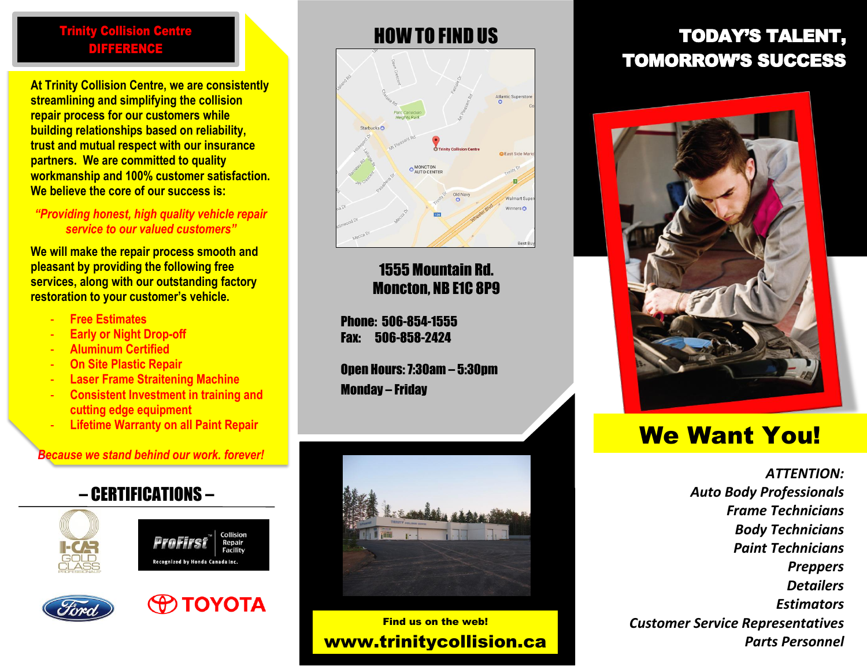#### Trinity Collision Centre DIFFERENCE

**At Trinity Collision Centre, we are consistently streamlining and simplifying the collision repair process for our customers while building relationships based on reliability, trust and mutual respect with our insurance partners. We are committed to quality workmanship and 100% customer satisfaction. We believe the core of our success is:**

#### *"Providing honest, high quality vehicle repair service to our valued customers"*

**We will make the repair process smooth and pleasant by providing the following free services, along with our outstanding factory restoration to your customer's vehicle.**

- **Free Estimates**
- **Early or Night Drop-off**
- **Aluminum Certified**
- **On Site Plastic Repair**
- **Laser Frame Straitening Machine**
- **Consistent Investment in training and cutting edge equipment**
- **Lifetime Warranty on all Paint Repair**

#### *Because we stand behind our work, forever!*

### – CERTIFICATIONS –









# Fast Side Ma MONCTON

## Moncton, NB E1C 8P9

1555 Mountain Rd.

Walmort Sur Vinners<sup>C</sup>

Rest R

Phone: 506-854-1555 Fax: 506-858-2424

Open Hours:7:30am – 5:30pm Monday – Friday



Find us on the web! www.trinitycollision.ca

## HOW TO FIND US TODAY'S TALENT, TOMORROW'S SUCCESS



## We Want You!

*ATTENTION: Auto Body Professionals Frame Technicians Body Technicians Paint Technicians Preppers Detailers Estimators Customer Service Representatives Parts Personnel*